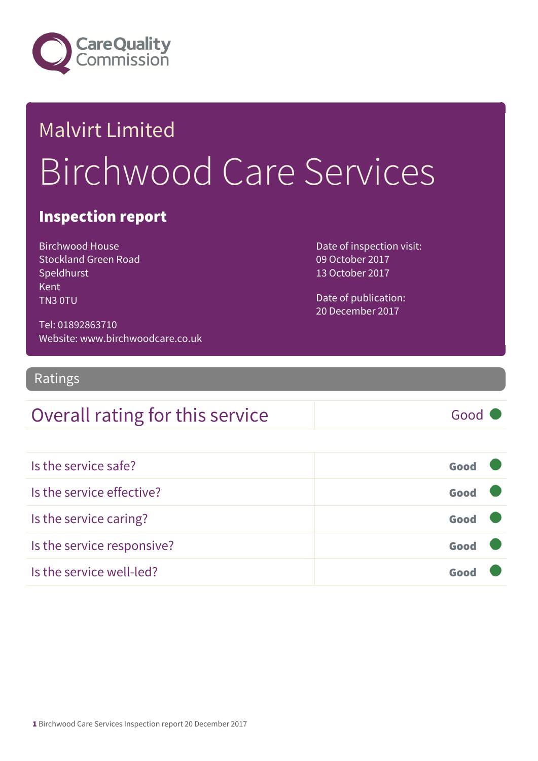

# Malvirt Limited Birchwood Care Services

#### Inspection report

Birchwood House Stockland Green Road Speldhurst Kent TN3 0TU

Date of inspection visit: 09 October 2017 13 October 2017

Date of publication: 20 December 2017

Tel: 01892863710 Website: www.birchwoodcare.co.uk

Ratings

#### Overall rating for this service Fig. 6000

| Is the service safe?       | Good |  |
|----------------------------|------|--|
| Is the service effective?  | Good |  |
| Is the service caring?     | Good |  |
| Is the service responsive? | Good |  |
| Is the service well-led?   | Good |  |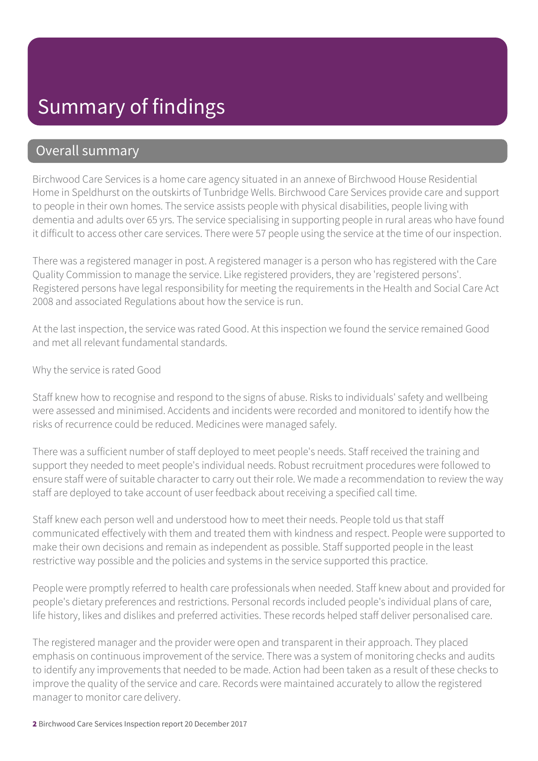#### Overall summary

Birchwood Care Services is a home care agency situated in an annexe of Birchwood House Residential Home in Speldhurst on the outskirts of Tunbridge Wells. Birchwood Care Services provide care and support to people in their own homes. The service assists people with physical disabilities, people living with dementia and adults over 65 yrs. The service specialising in supporting people in rural areas who have found it difficult to access other care services. There were 57 people using the service at the time of our inspection.

There was a registered manager in post. A registered manager is a person who has registered with the Care Quality Commission to manage the service. Like registered providers, they are 'registered persons'. Registered persons have legal responsibility for meeting the requirements in the Health and Social Care Act 2008 and associated Regulations about how the service is run.

At the last inspection, the service was rated Good. At this inspection we found the service remained Good and met all relevant fundamental standards.

Why the service is rated Good

Staff knew how to recognise and respond to the signs of abuse. Risks to individuals' safety and wellbeing were assessed and minimised. Accidents and incidents were recorded and monitored to identify how the risks of recurrence could be reduced. Medicines were managed safely.

There was a sufficient number of staff deployed to meet people's needs. Staff received the training and support they needed to meet people's individual needs. Robust recruitment procedures were followed to ensure staff were of suitable character to carry out their role. We made a recommendation to review the way staff are deployed to take account of user feedback about receiving a specified call time.

Staff knew each person well and understood how to meet their needs. People told us that staff communicated effectively with them and treated them with kindness and respect. People were supported to make their own decisions and remain as independent as possible. Staff supported people in the least restrictive way possible and the policies and systems in the service supported this practice.

People were promptly referred to health care professionals when needed. Staff knew about and provided for people's dietary preferences and restrictions. Personal records included people's individual plans of care, life history, likes and dislikes and preferred activities. These records helped staff deliver personalised care.

The registered manager and the provider were open and transparent in their approach. They placed emphasis on continuous improvement of the service. There was a system of monitoring checks and audits to identify any improvements that needed to be made. Action had been taken as a result of these checks to improve the quality of the service and care. Records were maintained accurately to allow the registered manager to monitor care delivery.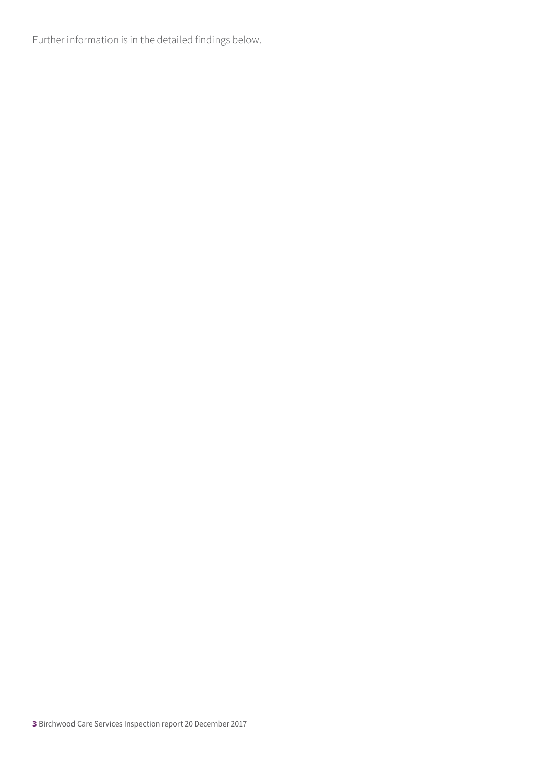Further information is in the detailed findings below.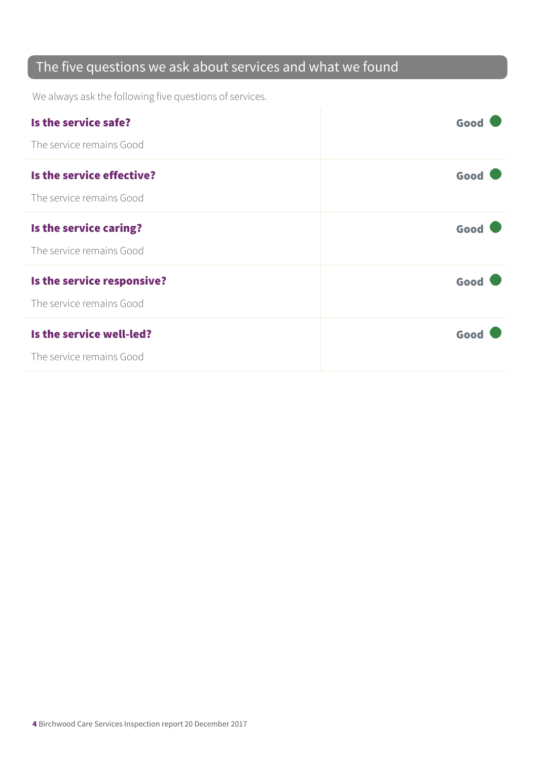#### The five questions we ask about services and what we found

We always ask the following five questions of services.

| Is the service safe?       | Good |
|----------------------------|------|
| The service remains Good   |      |
| Is the service effective?  | Good |
| The service remains Good   |      |
| Is the service caring?     | Good |
| The service remains Good   |      |
| Is the service responsive? | Good |
| The service remains Good   |      |
| Is the service well-led?   | Good |
| The service remains Good   |      |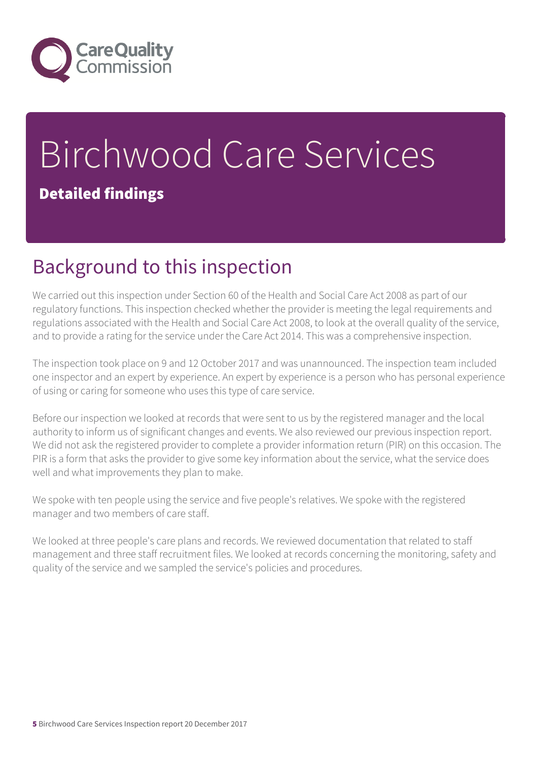

## Birchwood Care Services Detailed findings

### Background to this inspection

We carried out this inspection under Section 60 of the Health and Social Care Act 2008 as part of our regulatory functions. This inspection checked whether the provider is meeting the legal requirements and regulations associated with the Health and Social Care Act 2008, to look at the overall quality of the service, and to provide a rating for the service under the Care Act 2014. This was a comprehensive inspection.

The inspection took place on 9 and 12 October 2017 and was unannounced. The inspection team included one inspector and an expert by experience. An expert by experience is a person who has personal experience of using or caring for someone who uses this type of care service.

Before our inspection we looked at records that were sent to us by the registered manager and the local authority to inform us of significant changes and events. We also reviewed our previous inspection report. We did not ask the registered provider to complete a provider information return (PIR) on this occasion. The PIR is a form that asks the provider to give some key information about the service, what the service does well and what improvements they plan to make.

We spoke with ten people using the service and five people's relatives. We spoke with the registered manager and two members of care staff.

We looked at three people's care plans and records. We reviewed documentation that related to staff management and three staff recruitment files. We looked at records concerning the monitoring, safety and quality of the service and we sampled the service's policies and procedures.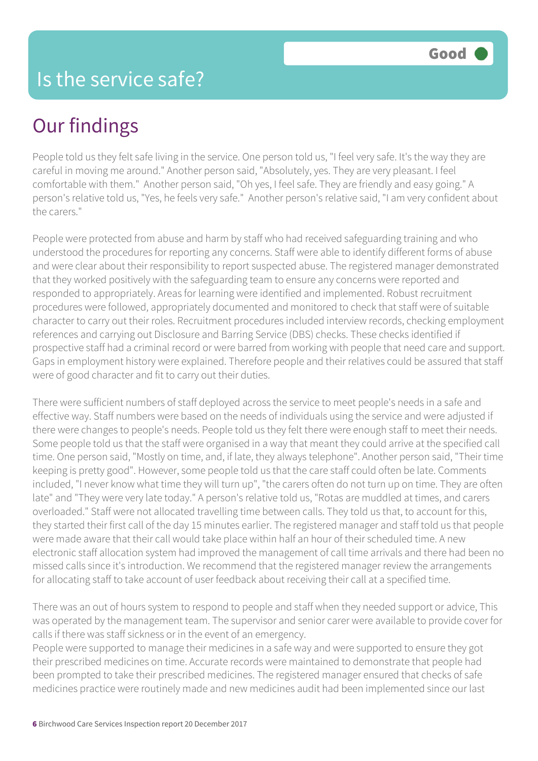People told us they felt safe living in the service. One person told us, "I feel very safe. It's the way they are careful in moving me around." Another person said, "Absolutely, yes. They are very pleasant. I feel comfortable with them." Another person said, "Oh yes, I feel safe. They are friendly and easy going." A person's relative told us, "Yes, he feels very safe." Another person's relative said, "I am very confident about the carers."

People were protected from abuse and harm by staff who had received safeguarding training and who understood the procedures for reporting any concerns. Staff were able to identify different forms of abuse and were clear about their responsibility to report suspected abuse. The registered manager demonstrated that they worked positively with the safeguarding team to ensure any concerns were reported and responded to appropriately. Areas for learning were identified and implemented. Robust recruitment procedures were followed, appropriately documented and monitored to check that staff were of suitable character to carry out their roles. Recruitment procedures included interview records, checking employment references and carrying out Disclosure and Barring Service (DBS) checks. These checks identified if prospective staff had a criminal record or were barred from working with people that need care and support. Gaps in employment history were explained. Therefore people and their relatives could be assured that staff were of good character and fit to carry out their duties.

There were sufficient numbers of staff deployed across the service to meet people's needs in a safe and effective way. Staff numbers were based on the needs of individuals using the service and were adjusted if there were changes to people's needs. People told us they felt there were enough staff to meet their needs. Some people told us that the staff were organised in a way that meant they could arrive at the specified call time. One person said, "Mostly on time, and, if late, they always telephone". Another person said, "Their time keeping is pretty good". However, some people told us that the care staff could often be late. Comments included, "I never know what time they will turn up", "the carers often do not turn up on time. They are often late" and "They were very late today." A person's relative told us, "Rotas are muddled at times, and carers overloaded." Staff were not allocated travelling time between calls. They told us that, to account for this, they started their first call of the day 15 minutes earlier. The registered manager and staff told us that people were made aware that their call would take place within half an hour of their scheduled time. A new electronic staff allocation system had improved the management of call time arrivals and there had been no missed calls since it's introduction. We recommend that the registered manager review the arrangements for allocating staff to take account of user feedback about receiving their call at a specified time.

There was an out of hours system to respond to people and staff when they needed support or advice, This was operated by the management team. The supervisor and senior carer were available to provide cover for calls if there was staff sickness or in the event of an emergency.

People were supported to manage their medicines in a safe way and were supported to ensure they got their prescribed medicines on time. Accurate records were maintained to demonstrate that people had been prompted to take their prescribed medicines. The registered manager ensured that checks of safe medicines practice were routinely made and new medicines audit had been implemented since our last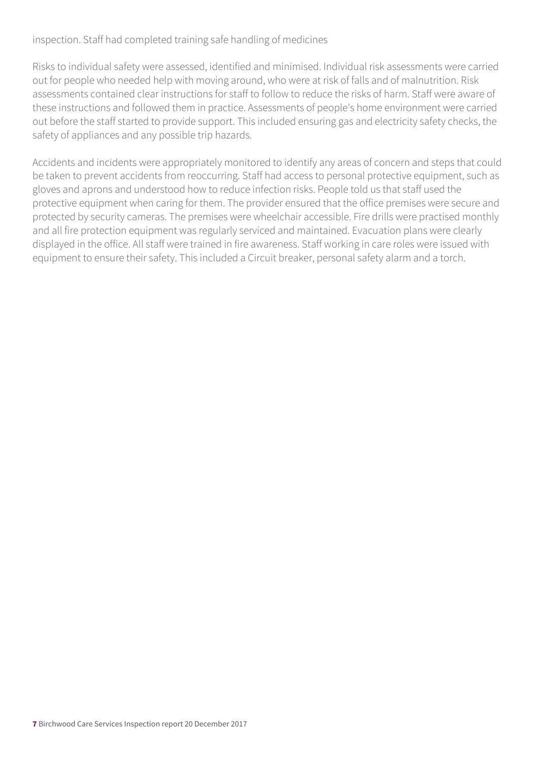#### inspection. Staff had completed training safe handling of medicines

Risks to individual safety were assessed, identified and minimised. Individual risk assessments were carried out for people who needed help with moving around, who were at risk of falls and of malnutrition. Risk assessments contained clear instructions for staff to follow to reduce the risks of harm. Staff were aware of these instructions and followed them in practice. Assessments of people's home environment were carried out before the staff started to provide support. This included ensuring gas and electricity safety checks, the safety of appliances and any possible trip hazards.

Accidents and incidents were appropriately monitored to identify any areas of concern and steps that could be taken to prevent accidents from reoccurring. Staff had access to personal protective equipment, such as gloves and aprons and understood how to reduce infection risks. People told us that staff used the protective equipment when caring for them. The provider ensured that the office premises were secure and protected by security cameras. The premises were wheelchair accessible. Fire drills were practised monthly and all fire protection equipment was regularly serviced and maintained. Evacuation plans were clearly displayed in the office. All staff were trained in fire awareness. Staff working in care roles were issued with equipment to ensure their safety. This included a Circuit breaker, personal safety alarm and a torch.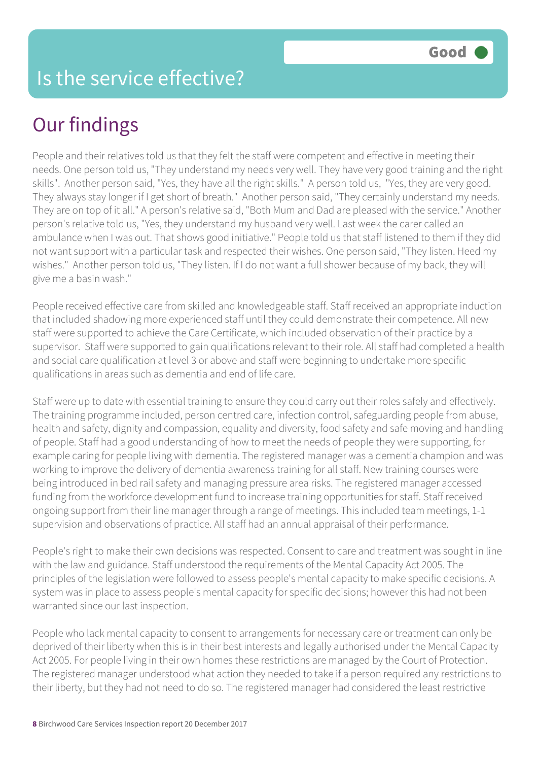People and their relatives told us that they felt the staff were competent and effective in meeting their needs. One person told us, "They understand my needs very well. They have very good training and the right skills". Another person said, "Yes, they have all the right skills." A person told us, "Yes, they are very good. They always stay longer if I get short of breath." Another person said, "They certainly understand my needs. They are on top of it all." A person's relative said, "Both Mum and Dad are pleased with the service." Another person's relative told us, "Yes, they understand my husband very well. Last week the carer called an ambulance when I was out. That shows good initiative." People told us that staff listened to them if they did not want support with a particular task and respected their wishes. One person said, "They listen. Heed my wishes." Another person told us, "They listen. If I do not want a full shower because of my back, they will give me a basin wash."

People received effective care from skilled and knowledgeable staff. Staff received an appropriate induction that included shadowing more experienced staff until they could demonstrate their competence. All new staff were supported to achieve the Care Certificate, which included observation of their practice by a supervisor. Staff were supported to gain qualifications relevant to their role. All staff had completed a health and social care qualification at level 3 or above and staff were beginning to undertake more specific qualifications in areas such as dementia and end of life care.

Staff were up to date with essential training to ensure they could carry out their roles safely and effectively. The training programme included, person centred care, infection control, safeguarding people from abuse, health and safety, dignity and compassion, equality and diversity, food safety and safe moving and handling of people. Staff had a good understanding of how to meet the needs of people they were supporting, for example caring for people living with dementia. The registered manager was a dementia champion and was working to improve the delivery of dementia awareness training for all staff. New training courses were being introduced in bed rail safety and managing pressure area risks. The registered manager accessed funding from the workforce development fund to increase training opportunities for staff. Staff received ongoing support from their line manager through a range of meetings. This included team meetings, 1-1 supervision and observations of practice. All staff had an annual appraisal of their performance.

People's right to make their own decisions was respected. Consent to care and treatment was sought in line with the law and guidance. Staff understood the requirements of the Mental Capacity Act 2005. The principles of the legislation were followed to assess people's mental capacity to make specific decisions. A system was in place to assess people's mental capacity for specific decisions; however this had not been warranted since our last inspection.

People who lack mental capacity to consent to arrangements for necessary care or treatment can only be deprived of their liberty when this is in their best interests and legally authorised under the Mental Capacity Act 2005. For people living in their own homes these restrictions are managed by the Court of Protection. The registered manager understood what action they needed to take if a person required any restrictions to their liberty, but they had not need to do so. The registered manager had considered the least restrictive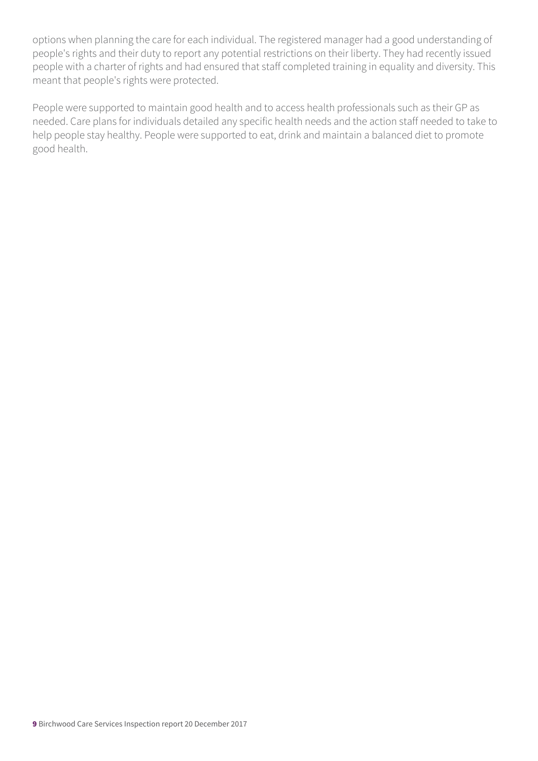options when planning the care for each individual. The registered manager had a good understanding of people's rights and their duty to report any potential restrictions on their liberty. They had recently issued people with a charter of rights and had ensured that staff completed training in equality and diversity. This meant that people's rights were protected.

People were supported to maintain good health and to access health professionals such as their GP as needed. Care plans for individuals detailed any specific health needs and the action staff needed to take to help people stay healthy. People were supported to eat, drink and maintain a balanced diet to promote good health.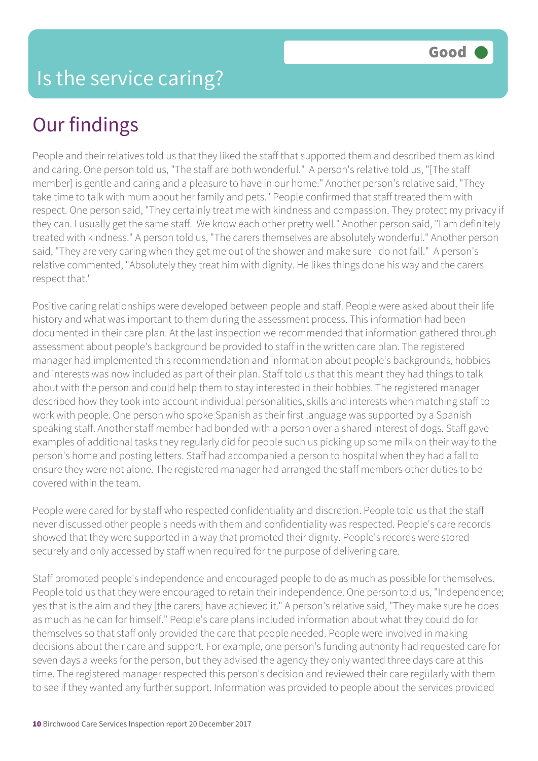People and their relatives told us that they liked the staff that supported them and described them as kind and caring. One person told us, "The staff are both wonderful." A person's relative told us, "[The staff member] is gentle and caring and a pleasure to have in our home." Another person's relative said, "They take time to talk with mum about her family and pets." People confirmed that staff treated them with respect. One person said, "They certainly treat me with kindness and compassion. They protect my privacy if they can. I usually get the same staff. We know each other pretty well." Another person said, "I am definitely treated with kindness." A person told us, "The carers themselves are absolutely wonderful." Another person said, "They are very caring when they get me out of the shower and make sure I do not fall." A person's relative commented, "Absolutely they treat him with dignity. He likes things done his way and the carers respect that."

Positive caring relationships were developed between people and staff. People were asked about their life history and what was important to them during the assessment process. This information had been documented in their care plan. At the last inspection we recommended that information gathered through assessment about people's background be provided to staff in the written care plan. The registered manager had implemented this recommendation and information about people's backgrounds, hobbies and interests was now included as part of their plan. Staff told us that this meant they had things to talk about with the person and could help them to stay interested in their hobbies. The registered manager described how they took into account individual personalities, skills and interests when matching staff to work with people. One person who spoke Spanish as their first language was supported by a Spanish speaking staff. Another staff member had bonded with a person over a shared interest of dogs. Staff gave examples of additional tasks they regularly did for people such us picking up some milk on their way to the person's home and posting letters. Staff had accompanied a person to hospital when they had a fall to ensure they were not alone. The registered manager had arranged the staff members other duties to be covered within the team.

People were cared for by staff who respected confidentiality and discretion. People told us that the staff never discussed other people's needs with them and confidentiality was respected. People's care records showed that they were supported in a way that promoted their dignity. People's records were stored securely and only accessed by staff when required for the purpose of delivering care.

Staff promoted people's independence and encouraged people to do as much as possible for themselves. People told us that they were encouraged to retain their independence. One person told us, "Independence; yes that is the aim and they [the carers] have achieved it." A person's relative said, "They make sure he does as much as he can for himself." People's care plans included information about what they could do for themselves so that staff only provided the care that people needed. People were involved in making decisions about their care and support. For example, one person's funding authority had requested care for seven days a weeks for the person, but they advised the agency they only wanted three days care at this time. The registered manager respected this person's decision and reviewed their care regularly with them to see if they wanted any further support. Information was provided to people about the services provided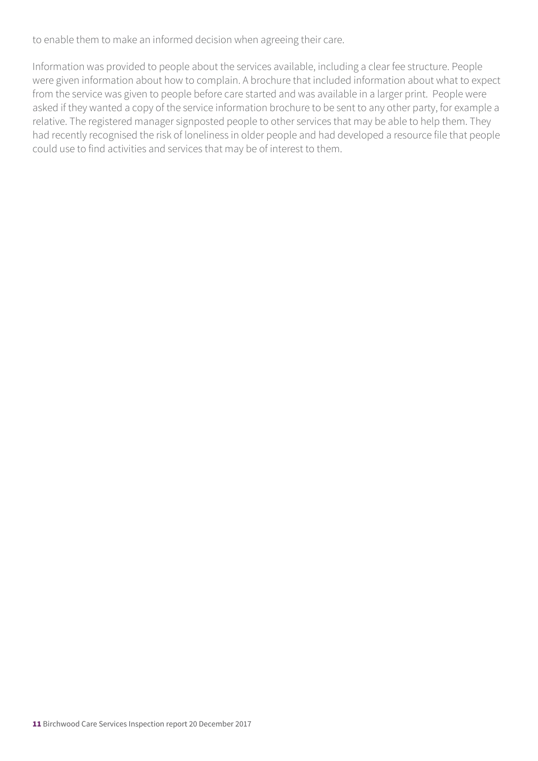to enable them to make an informed decision when agreeing their care.

Information was provided to people about the services available, including a clear fee structure. People were given information about how to complain. A brochure that included information about what to expect from the service was given to people before care started and was available in a larger print. People were asked if they wanted a copy of the service information brochure to be sent to any other party, for example a relative. The registered manager signposted people to other services that may be able to help them. They had recently recognised the risk of loneliness in older people and had developed a resource file that people could use to find activities and services that may be of interest to them.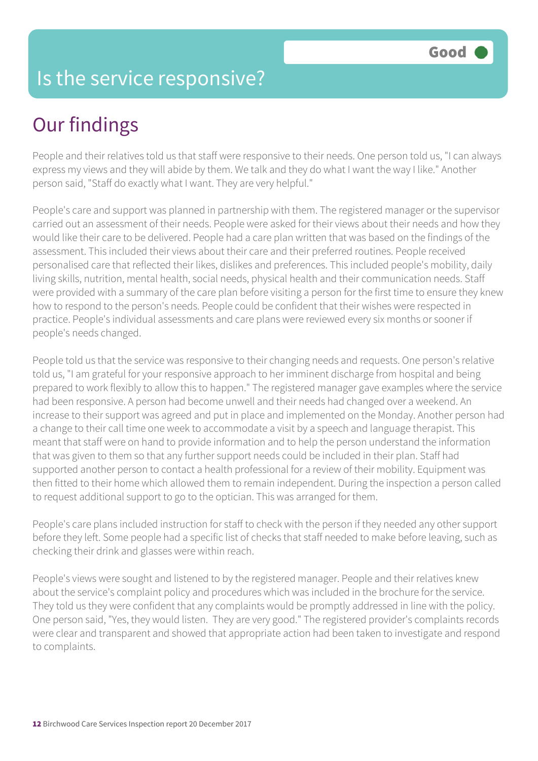#### Is the service responsive?

## Our findings

People and their relatives told us that staff were responsive to their needs. One person told us, "I can always express my views and they will abide by them. We talk and they do what I want the way I like." Another person said, "Staff do exactly what I want. They are very helpful."

People's care and support was planned in partnership with them. The registered manager or the supervisor carried out an assessment of their needs. People were asked for their views about their needs and how they would like their care to be delivered. People had a care plan written that was based on the findings of the assessment. This included their views about their care and their preferred routines. People received personalised care that reflected their likes, dislikes and preferences. This included people's mobility, daily living skills, nutrition, mental health, social needs, physical health and their communication needs. Staff were provided with a summary of the care plan before visiting a person for the first time to ensure they knew how to respond to the person's needs. People could be confident that their wishes were respected in practice. People's individual assessments and care plans were reviewed every six months or sooner if people's needs changed.

People told us that the service was responsive to their changing needs and requests. One person's relative told us, "I am grateful for your responsive approach to her imminent discharge from hospital and being prepared to work flexibly to allow this to happen." The registered manager gave examples where the service had been responsive. A person had become unwell and their needs had changed over a weekend. An increase to their support was agreed and put in place and implemented on the Monday. Another person had a change to their call time one week to accommodate a visit by a speech and language therapist. This meant that staff were on hand to provide information and to help the person understand the information that was given to them so that any further support needs could be included in their plan. Staff had supported another person to contact a health professional for a review of their mobility. Equipment was then fitted to their home which allowed them to remain independent. During the inspection a person called to request additional support to go to the optician. This was arranged for them.

People's care plans included instruction for staff to check with the person if they needed any other support before they left. Some people had a specific list of checks that staff needed to make before leaving, such as checking their drink and glasses were within reach.

People's views were sought and listened to by the registered manager. People and their relatives knew about the service's complaint policy and procedures which was included in the brochure for the service. They told us they were confident that any complaints would be promptly addressed in line with the policy. One person said, "Yes, they would listen. They are very good." The registered provider's complaints records were clear and transparent and showed that appropriate action had been taken to investigate and respond to complaints.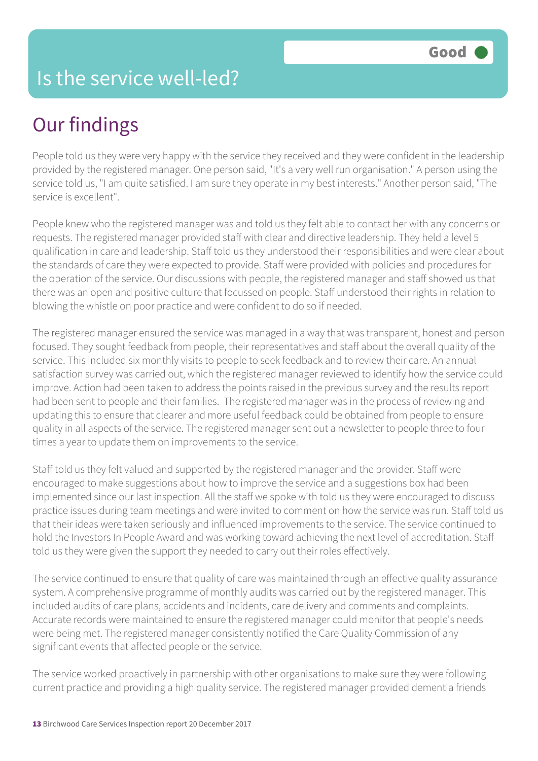People told us they were very happy with the service they received and they were confident in the leadership provided by the registered manager. One person said, "It's a very well run organisation." A person using the service told us, "I am quite satisfied. I am sure they operate in my best interests." Another person said, "The service is excellent".

People knew who the registered manager was and told us they felt able to contact her with any concerns or requests. The registered manager provided staff with clear and directive leadership. They held a level 5 qualification in care and leadership. Staff told us they understood their responsibilities and were clear about the standards of care they were expected to provide. Staff were provided with policies and procedures for the operation of the service. Our discussions with people, the registered manager and staff showed us that there was an open and positive culture that focussed on people. Staff understood their rights in relation to blowing the whistle on poor practice and were confident to do so if needed.

The registered manager ensured the service was managed in a way that was transparent, honest and person focused. They sought feedback from people, their representatives and staff about the overall quality of the service. This included six monthly visits to people to seek feedback and to review their care. An annual satisfaction survey was carried out, which the registered manager reviewed to identify how the service could improve. Action had been taken to address the points raised in the previous survey and the results report had been sent to people and their families. The registered manager was in the process of reviewing and updating this to ensure that clearer and more useful feedback could be obtained from people to ensure quality in all aspects of the service. The registered manager sent out a newsletter to people three to four times a year to update them on improvements to the service.

Staff told us they felt valued and supported by the registered manager and the provider. Staff were encouraged to make suggestions about how to improve the service and a suggestions box had been implemented since our last inspection. All the staff we spoke with told us they were encouraged to discuss practice issues during team meetings and were invited to comment on how the service was run. Staff told us that their ideas were taken seriously and influenced improvements to the service. The service continued to hold the Investors In People Award and was working toward achieving the next level of accreditation. Staff told us they were given the support they needed to carry out their roles effectively.

The service continued to ensure that quality of care was maintained through an effective quality assurance system. A comprehensive programme of monthly audits was carried out by the registered manager. This included audits of care plans, accidents and incidents, care delivery and comments and complaints. Accurate records were maintained to ensure the registered manager could monitor that people's needs were being met. The registered manager consistently notified the Care Quality Commission of any significant events that affected people or the service.

The service worked proactively in partnership with other organisations to make sure they were following current practice and providing a high quality service. The registered manager provided dementia friends